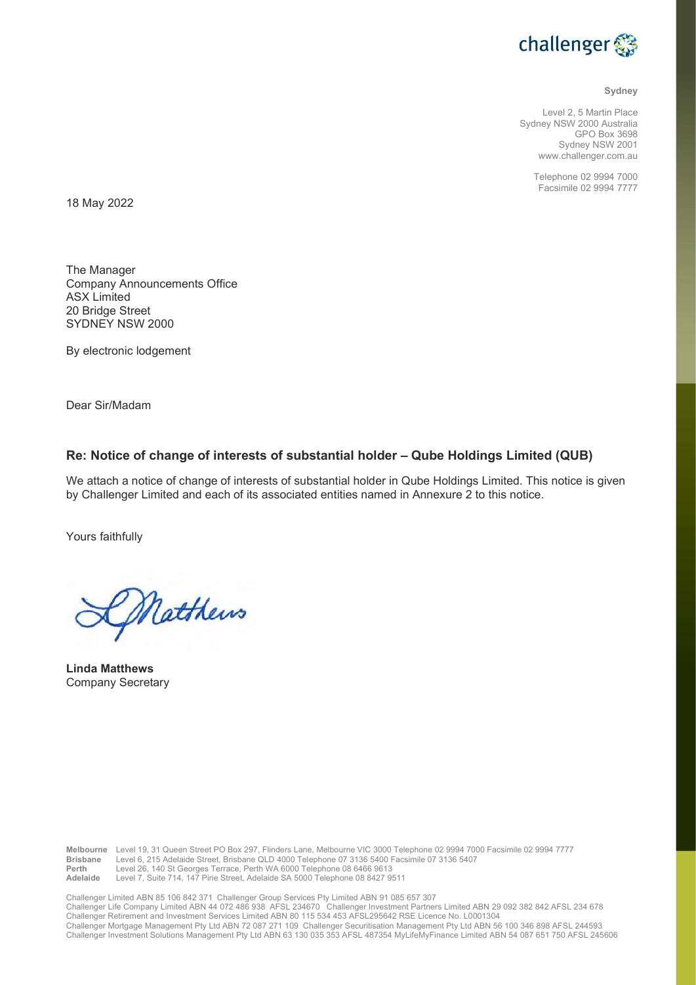

#### Sydney

Level 2, 5 Martin Place Sydney NSW 2000 Australia GPO Box 3698 Sydney NSW 2001 www.challenger.com.au

> Telephone 02 9994 7000 Facsimile 02 9994 7777

18 May 2022

The Manager Company Announcements Office ASX Limited 20 Bridge Street SYDNEY NSW 2000

By electronic lodgement

Dear Sir/Madam

## Re: Notice of change of interests of substantial holder – Qube Holdings Limited (QUB)

We attach a notice of change of interests of substantial holder in Qube Holdings Limited. This notice is given by Challenger Limited and each of its associated entities named in Annexure 2 to this notice.

Yours faithfully

Matthews

Linda Matthews Company Secretary

Melbourne Level 19, 31 Queen Street PO Box 297, Flinders Lane, Melbourne VIC 3000 Telephone 02 9994 7000 Facsimile 02 9994 7777<br>Brisbane Level 6, 215 Adelaide Street, Brisbane QLD 4000 Telephone 07 3136 5400 Facsimile 07 3 Level 6, 215 Adelaide Street, Brisbane QLD 4000 Telephone 07 3136 5400 Facsimile 07 3136 5407 Perth Level 26, 140 St Georges Terrace, Perth WA 6000 Telephone 08 6466 9613 Adelaide Level 7, Suite 714, 147 Pirie Street, Adelaide SA 5000 Telephone 08 8427 9511

Challenger Limited ABN 85 106 842 371 Challenger Group Services Pty Limited ABN 91 085 657 307 Challenger Life Company Limited ABN 44 072 486 938 AFSL 234670 Challenger Investment Partners Limited ABN 29 092 382 842 AFSL 234 678 Challenger Retirement and Investment Services Limited ABN 80 115 534 453 AFSL295642 RSE Licence No. L0001304 Challenger Mortgage Management Pty Ltd ABN 72 087 271 109 Challenger Securitisation Management Pty Ltd ABN 56 100 346 898 AFSL 244593 Challenger Investment Solutions Management Pty Ltd ABN 63 130 035 353 AFSL 487354 MyLifeMyFinance Limited ABN 54 087 651 750 AFSL 245606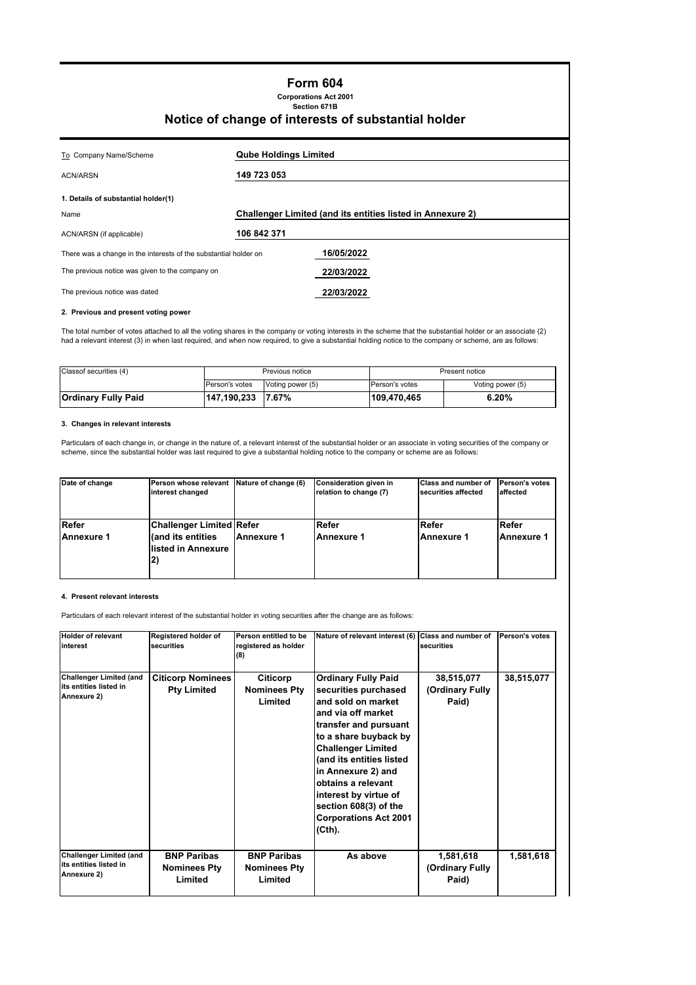## **Form 604**

**Corporations Act 2001 Section 671B**

## **Notice of change of interests of substantial holder**

| <b>Qube Holdings Limited</b>                                                   |  |  |
|--------------------------------------------------------------------------------|--|--|
| 149 723 053                                                                    |  |  |
|                                                                                |  |  |
| <b>Challenger Limited (and its entities listed in Annexure 2)</b>              |  |  |
| 106 842 371                                                                    |  |  |
| 16/05/2022<br>There was a change in the interests of the substantial holder on |  |  |
| 22/03/2022                                                                     |  |  |
| 22/03/2022                                                                     |  |  |
|                                                                                |  |  |

#### **2. Previous and present voting power**

The total number of votes attached to all the voting shares in the company or voting interests in the scheme that the substantial holder or an associate (2) had a relevant interest (3) in when last required, and when now required, to give a substantial holding notice to the company or scheme, are as follows:

| Classof securities (4) | Previous notice |                  | Present notice        |                  |
|------------------------|-----------------|------------------|-----------------------|------------------|
|                        | Person's votes  | Voting power (5) | <b>Person's votes</b> | Voting power (5) |
| Ordinary Fully Paid    | 147,190,233     | 7.67%            | 109,470,465           | 6.20%            |

#### **3. Changes in relevant interests**

Particulars of each change in, or change in the nature of, a relevant interest of the substantial holder or an associate in voting securities of the company or scheme, since the substantial holder was last required to give a substantial holding notice to the company or scheme are as follows:

| Date of change    | Person whose relevant Nature of change (6)<br>interest changed |            | Consideration given in<br>relation to change (7) | <b>Class and number of</b><br>securities affected | Person's votes<br>laffected |
|-------------------|----------------------------------------------------------------|------------|--------------------------------------------------|---------------------------------------------------|-----------------------------|
| Refer             | Challenger Limited Refer                                       |            | Refer                                            | Refer                                             | Refer                       |
| <b>Annexure 1</b> | (and its entities<br>llisted in Annexure<br>2)                 | Annexure 1 | <b>Annexure 1</b>                                | Annexure 1                                        | <b>Annexure 1</b>           |

#### **4. Present relevant interests**

Particulars of each relevant interest of the substantial holder in voting securities after the change are as follows:

| <b>Holder of relevant</b><br>linterest                                  | Registered holder of<br>securities                   | Person entitled to be<br>registered as holder<br>(8) | Nature of relevant interest (6)                                                                                                                                                                                                                                                                                                                   | Class and number of<br>securities      | Person's votes |
|-------------------------------------------------------------------------|------------------------------------------------------|------------------------------------------------------|---------------------------------------------------------------------------------------------------------------------------------------------------------------------------------------------------------------------------------------------------------------------------------------------------------------------------------------------------|----------------------------------------|----------------|
| <b>Challenger Limited (and</b><br>its entities listed in<br>Annexure 2) | <b>Citicorp Nominees</b><br><b>Pty Limited</b>       | Citicorp<br><b>Nominees Pty</b><br>Limited           | <b>Ordinary Fully Paid</b><br>securities purchased<br>and sold on market<br>and via off market<br>transfer and pursuant<br>to a share buyback by<br><b>Challenger Limited</b><br>(and its entities listed<br>in Annexure 2) and<br>obtains a relevant<br>interest by virtue of<br>section 608(3) of the<br><b>Corporations Act 2001</b><br>(Cth). | 38,515,077<br>(Ordinary Fully<br>Paid) | 38,515,077     |
| <b>Challenger Limited (and</b><br>its entities listed in<br>Annexure 2) | <b>BNP Paribas</b><br><b>Nominees Pty</b><br>Limited | <b>BNP Paribas</b><br><b>Nominees Pty</b><br>Limited | As above                                                                                                                                                                                                                                                                                                                                          | 1,581,618<br>(Ordinary Fully<br>Paid)  | 1,581,618      |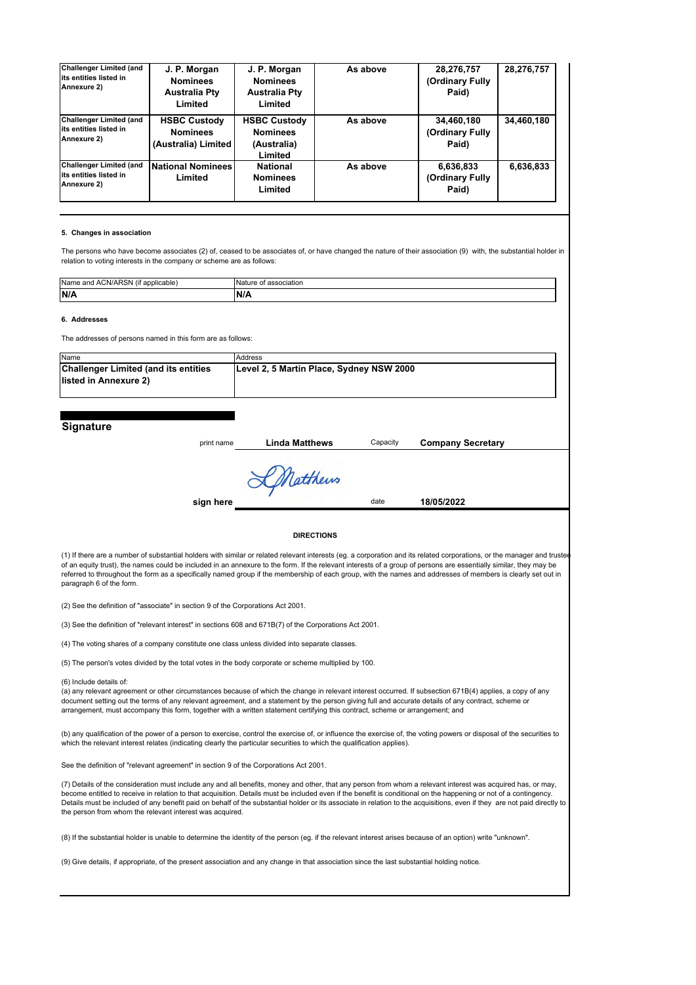| <b>Challenger Limited (and</b><br>its entities listed in<br>Annexure 2) | J. P. Morgan<br><b>Nominees</b><br><b>Australia Pty</b><br>Limited | J. P. Morgan<br><b>Nominees</b><br><b>Australia Pty</b><br>Limited | As above | 28,276,757<br>(Ordinary Fully<br>Paid) | 28,276,757 |
|-------------------------------------------------------------------------|--------------------------------------------------------------------|--------------------------------------------------------------------|----------|----------------------------------------|------------|
| <b>Challenger Limited (and</b><br>its entities listed in<br>Annexure 2) | <b>HSBC Custody</b><br><b>Nominees</b><br>(Australia) Limited      | <b>HSBC Custody</b><br><b>Nominees</b><br>(Australia)<br>Limited   | As above | 34,460,180<br>(Ordinary Fully<br>Paid) | 34,460,180 |
| <b>Challenger Limited (and</b><br>its entities listed in<br>Annexure 2) | <b>National Nominees</b><br>Limited                                | <b>National</b><br><b>Nominees</b><br>Limited                      | As above | 6,636,833<br>(Ordinary Fully<br>Paid)  | 6,636,833  |

#### **5. Changes in association**

The persons who have become associates (2) of, ceased to be associates of, or have changed the nature of their association (9) with, the substantial holder in relation to voting interests in the company or scheme are as follows:

| Name and ACN/ARSN (if applicable) | Nature of association |
|-----------------------------------|-----------------------|
| N/A                               | N/A                   |
|                                   |                       |

**6. Addresses**

The addresses of persons named in this form are as follows:

| Name                                        | Address                                  |
|---------------------------------------------|------------------------------------------|
| <b>Challenger Limited (and its entities</b> | Level 2, 5 Martin Place, Sydney NSW 2000 |
| llisted in Annexure 2)                      |                                          |
|                                             |                                          |

#### **Signature**

| ngnature | print name | <b>Linda Matthews</b> | Capacity | <b>Company Secretary</b> |  |
|----------|------------|-----------------------|----------|--------------------------|--|
|          |            | LMatthews             | date     |                          |  |
|          | sign here  |                       |          | 18/05/2022               |  |
|          |            | <b>DIRECTIONS</b>     |          |                          |  |

(1) If there are a number of substantial holders with similar or related relevant interests (eg. a corporation and its related corporations, or the manager and truste of an equity trust), the names could be included in an annexure to the form. If the relevant interests of a group of persons are essentially similar, they may be referred to throughout the form as a specifically named group if the membership of each group, with the names and addresses of members is clearly set out in paragraph 6 of the form.

(2) See the definition of "associate" in section 9 of the Corporations Act 2001.

(3) See the definition of "relevant interest" in sections 608 and 671B(7) of the Corporations Act 2001.

(4) The voting shares of a company constitute one class unless divided into separate classes.

(5) The person's votes divided by the total votes in the body corporate or scheme multiplied by 100.

(6) Include details of:

(a) any relevant agreement or other circumstances because of which the change in relevant interest occurred. If subsection 671B(4) applies, a copy of any document setting out the terms of any relevant agreement, and a statement by the person giving full and accurate details of any contract, scheme or arrangement, must accompany this form, together with a written statement certifying this contract, scheme or arrangement; and

(b) any qualification of the power of a person to exercise, control the exercise of, or influence the exercise of, the voting powers or disposal of the securities to which the relevant interest relates (indicating clearly the particular securities to which the qualification applies).

See the definition of "relevant agreement" in section 9 of the Corporations Act 2001.

(7) Details of the consideration must include any and all benefits, money and other, that any person from whom a relevant interest was acquired has, or may, become entitled to receive in relation to that acquisition. Details must be included even if the benefit is conditional on the happening or not of a contingency.<br>Details must be included of any benefit paid on behalf of th the person from whom the relevant interest was acquired.

(8) If the substantial holder is unable to determine the identity of the person (eg. if the relevant interest arises because of an option) write "unknown".

(9) Give details, if appropriate, of the present association and any change in that association since the last substantial holding notice.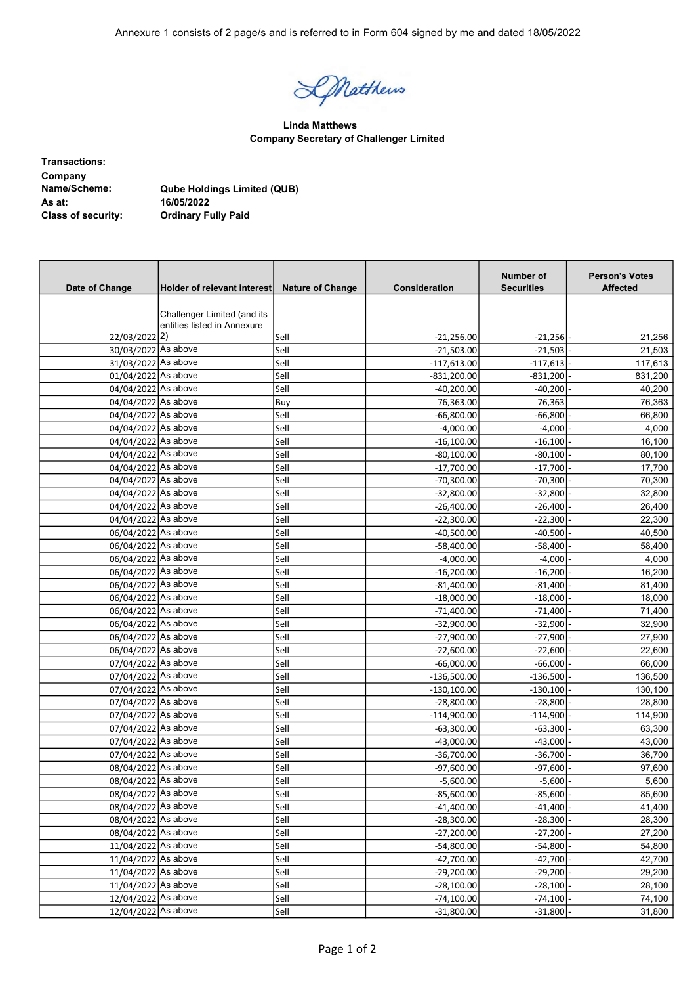Annexure 1 consists of 2 page/s and is referred to in Form 604 signed by me and dated 18/05/2022

Datthews

Linda Matthews Company Secretary of Challenger Limited

Transactions: Company<br>Name/Scheme: Qube Holdings Limited (QUB) As at: 16/05/2022<br>Class of security: 0rdinary Fo **Ordinary Fully Paid** 

| Date of Change      | Holder of relevant interest | <b>Nature of Change</b> | <b>Consideration</b> | Number of<br><b>Securities</b> | <b>Person's Votes</b><br><b>Affected</b> |
|---------------------|-----------------------------|-------------------------|----------------------|--------------------------------|------------------------------------------|
|                     |                             |                         |                      |                                |                                          |
|                     | Challenger Limited (and its |                         |                      |                                |                                          |
|                     | entities listed in Annexure |                         |                      |                                |                                          |
| 22/03/2022 2)       |                             | Sell                    | $-21,256.00$         | $-21,256$                      | 21,256                                   |
| 30/03/2022 As above |                             | Sell                    | $-21,503.00$         | $-21,503$                      | 21,503                                   |
| 31/03/2022 As above |                             | Sell                    | $-117,613.00$        | $-117,613$                     | 117,613                                  |
| 01/04/2022 As above |                             | Sell                    | $-831,200.00$        | $-831,200$                     | 831,200                                  |
| 04/04/2022 As above |                             | Sell                    | $-40,200.00$         | $-40,200$                      | 40,200                                   |
| 04/04/2022 As above |                             | Buy                     | 76,363.00            | 76,363                         | 76,363                                   |
| 04/04/2022 As above |                             | Sell                    | $-66,800.00$         | $-66,800$                      | 66,800                                   |
| 04/04/2022 As above |                             | Sell                    | $-4,000.00$          | $-4,000$                       | 4,000                                    |
| 04/04/2022 As above |                             | Sell                    | $-16,100.00$         | $-16,100$                      | 16,100                                   |
| 04/04/2022 As above |                             | Sell                    | $-80,100.00$         | -80,100                        | 80,100                                   |
| 04/04/2022 As above |                             | Sell                    | $-17,700.00$         | $-17,700$                      | 17,700                                   |
| 04/04/2022 As above |                             | Sell                    | $-70,300.00$         | $-70,300$                      | 70,300                                   |
| 04/04/2022 As above |                             | Sell                    | $-32,800.00$         | $-32,800$                      | 32,800                                   |
| 04/04/2022 As above |                             | Sell                    | $-26,400.00$         | $-26,400$                      | 26,400                                   |
| 04/04/2022 As above |                             | Sell                    | $-22,300.00$         | $-22,300$                      | 22,300                                   |
| 06/04/2022 As above |                             | Sell                    | $-40,500.00$         | $-40,500$                      | 40,500                                   |
| 06/04/2022 As above |                             | Sell                    | $-58,400.00$         | $-58,400$                      | 58,400                                   |
| 06/04/2022 As above |                             | Sell                    | $-4,000.00$          | $-4,000$                       | 4,000                                    |
| 06/04/2022 As above |                             | Sell                    | $-16,200.00$         | $-16,200$                      | 16,200                                   |
| 06/04/2022 As above |                             | Sell                    | $-81,400.00$         | $-81,400$                      | 81,400                                   |
| 06/04/2022 As above |                             | Sell                    | $-18,000.00$         | $-18,000$                      | 18,000                                   |
| 06/04/2022 As above |                             | Sell                    | $-71,400.00$         | $-71,400$                      | 71,400                                   |
| 06/04/2022 As above |                             | Sell                    | $-32,900.00$         | $-32,900$                      | 32,900                                   |
| 06/04/2022 As above |                             | Sell                    | $-27,900.00$         | $-27,900$                      | 27,900                                   |
| 06/04/2022 As above |                             | Sell                    | $-22,600.00$         | $-22,600$                      | 22,600                                   |
| 07/04/2022 As above |                             | Sell                    | $-66,000.00$         | $-66,000$                      | 66,000                                   |
| 07/04/2022 As above |                             | Sell                    | $-136,500.00$        | $-136,500$                     | 136,500                                  |
| 07/04/2022 As above |                             | Sell                    | $-130,100.00$        | $-130,100$                     | 130,100                                  |
| 07/04/2022 As above |                             | Sell                    | $-28,800.00$         | $-28,800$                      | 28,800                                   |
| 07/04/2022 As above |                             | Sell                    | $-114,900.00$        | $-114,900$                     | 114,900                                  |
| 07/04/2022 As above |                             | Sell                    | $-63,300.00$         | $-63,300$                      | 63,300                                   |
| 07/04/2022 As above |                             | Sell                    | $-43,000.00$         |                                |                                          |
| 07/04/2022 As above |                             | Sell                    | $-36,700.00$         | $-43,000$<br>$-36,700$         | 43,000<br>36,700                         |
| 08/04/2022 As above |                             | Sell                    | $-97,600.00$         | $-97,600$                      | 97,600                                   |
|                     |                             |                         |                      |                                |                                          |
| 08/04/2022 As above |                             | Sell                    | $-5,600.00$          | $-5,600$                       | 5,600                                    |
| 08/04/2022 As above |                             | Sell                    | $-85,600.00$         | $-85,600$                      | 85,600                                   |
| 08/04/2022 As above |                             | Sell                    | $-41,400.00$         | $-41,400$                      | 41,400                                   |
| 08/04/2022 As above |                             | Sell                    | $-28,300.00$         | $-28,300$                      | 28,300                                   |
| 08/04/2022 As above |                             | Sell                    | $-27,200.00$         | $-27,200$                      | 27,200                                   |
| 11/04/2022 As above |                             | Sell                    | $-54,800.00$         | $-54,800$                      | 54,800                                   |
| 11/04/2022 As above |                             | Sell                    | $-42,700.00$         | $-42,700$                      | 42,700                                   |
| 11/04/2022 As above |                             | Sell                    | $-29,200.00$         | $-29,200$                      | 29,200                                   |
| 11/04/2022 As above |                             | Sell                    | $-28,100.00$         | $-28,100$                      | 28,100                                   |
| 12/04/2022 As above |                             | Sell                    | $-74,100.00$         | $-74,100$                      | 74,100                                   |
| 12/04/2022 As above |                             | Sell                    | $-31,800.00$         | $-31,800$                      | 31,800                                   |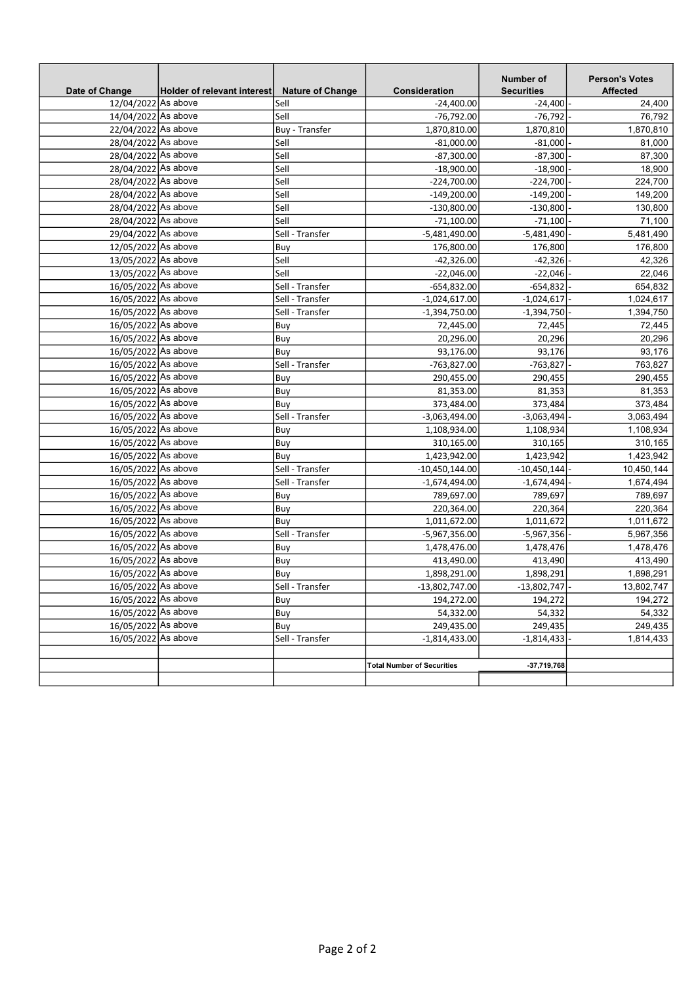| Date of Change                             | Holder of relevant interest | <b>Nature of Change</b> | <b>Consideration</b>              | Number of<br><b>Securities</b> | <b>Person's Votes</b><br><b>Affected</b> |
|--------------------------------------------|-----------------------------|-------------------------|-----------------------------------|--------------------------------|------------------------------------------|
| 12/04/2022 As above                        |                             | Sell                    | $-24,400.00$                      | $-24,400$                      | 24,400                                   |
| 14/04/2022 As above                        |                             | Sell                    | $-76,792.00$                      | $-76,792$                      | 76,792                                   |
| 22/04/2022 As above                        |                             | Buy - Transfer          | 1,870,810.00                      | 1,870,810                      | 1,870,810                                |
| 28/04/2022 As above                        |                             | Sell                    | $-81,000.00$                      | $-81,000$                      | 81,000                                   |
| 28/04/2022 As above                        |                             | Sell                    | $-87,300.00$                      | $-87,300$                      | 87,300                                   |
| 28/04/2022 As above                        |                             | Sell                    | $-18,900.00$                      | $-18,900$                      | 18,900                                   |
| 28/04/2022 As above                        |                             | Sell                    | $-224,700.00$                     | $-224,700$                     | 224,700                                  |
| 28/04/2022 As above                        |                             | Sell                    | $-149,200.00$                     | $-149,200$                     | 149,200                                  |
| 28/04/2022 As above                        |                             | Sell                    | $-130,800.00$                     | -130,800                       | 130,800                                  |
| 28/04/2022 As above                        |                             | Sell                    | $-71,100.00$                      | $-71,100$                      | 71,100                                   |
| 29/04/2022 As above                        |                             | Sell - Transfer         | $-5,481,490.00$                   | $-5,481,490$                   | 5,481,490                                |
| 12/05/2022 As above                        |                             | Buy                     | 176,800.00                        | 176,800                        | 176,800                                  |
| 13/05/2022 As above                        |                             | Sell                    | $-42,326.00$                      | $-42,326$                      | 42,326                                   |
| 13/05/2022 As above                        |                             | Sell                    | $-22,046.00$                      | $-22,046$                      | 22,046                                   |
| 16/05/2022 As above                        |                             | Sell - Transfer         | $-654,832.00$                     | $-654,832$                     | 654,832                                  |
| 16/05/2022 As above                        |                             | Sell - Transfer         | $-1,024,617.00$                   | $-1,024,617$                   | 1,024,617                                |
| 16/05/2022 As above                        |                             | Sell - Transfer         | $-1,394,750.00$                   | $-1,394,750$                   | 1,394,750                                |
| 16/05/2022 As above                        |                             | Buy                     | 72,445.00                         | 72,445                         | 72,445                                   |
| 16/05/2022 As above<br>16/05/2022 As above |                             | Buy                     | 20,296.00                         | 20,296                         | 20,296                                   |
| 16/05/2022 As above                        |                             | Buy<br>Sell - Transfer  | 93,176.00<br>-763,827.00          | 93,176                         | 93,176                                   |
| 16/05/2022 As above                        |                             |                         |                                   | $-763,827$                     | 763,827                                  |
| 16/05/2022 As above                        |                             | Buy                     | 290,455.00                        | 290,455                        | 290,455                                  |
| 16/05/2022 As above                        |                             | Buy<br>Buy              | 81,353.00<br>373,484.00           | 81,353<br>373,484              | 81,353<br>373,484                        |
| 16/05/2022 As above                        |                             | Sell - Transfer         | $-3,063,494.00$                   | $-3,063,494$                   | 3,063,494                                |
| 16/05/2022 As above                        |                             | Buy                     | 1,108,934.00                      | 1,108,934                      | 1,108,934                                |
| 16/05/2022 As above                        |                             | Buy                     | 310,165.00                        | 310,165                        | 310,165                                  |
| 16/05/2022 As above                        |                             | Buy                     | 1,423,942.00                      | 1,423,942                      | 1,423,942                                |
| 16/05/2022 As above                        |                             | Sell - Transfer         | $-10,450,144.00$                  | $-10,450,144$                  | 10,450,144                               |
| 16/05/2022 As above                        |                             | Sell - Transfer         | $-1,674,494.00$                   | $-1,674,494$                   | 1,674,494                                |
| 16/05/2022 As above                        |                             | Buy                     | 789,697.00                        | 789,697                        | 789,697                                  |
| 16/05/2022 As above                        |                             | Buy                     | 220,364.00                        | 220,364                        | 220,364                                  |
| 16/05/2022 As above                        |                             | Buy                     | 1,011,672.00                      | 1,011,672                      | 1,011,672                                |
| 16/05/2022 As above                        |                             | Sell - Transfer         | -5,967,356.00                     | $-5,967,356$                   | 5,967,356                                |
| 16/05/2022 As above                        |                             | Buy                     | 1,478,476.00                      | 1,478,476                      | 1,478,476                                |
| 16/05/2022 As above                        |                             | Buy                     | 413,490.00                        | 413,490                        | 413,490                                  |
| 16/05/2022 As above                        |                             | Buy                     | 1,898,291.00                      | 1,898,291                      | 1,898,291                                |
| 16/05/2022 As above                        |                             | Sell - Transfer         | $-13,802,747.00$                  | $-13,802,747$                  | 13,802,747                               |
| 16/05/2022 As above                        |                             | Buy                     | 194,272.00                        | 194,272                        | 194,272                                  |
| 16/05/2022 As above                        |                             | Buy                     | 54,332.00                         | 54,332                         | 54,332                                   |
| 16/05/2022 As above                        |                             | Buy                     | 249,435.00                        | 249,435                        | 249,435                                  |
| 16/05/2022 As above                        |                             | Sell - Transfer         | $-1,814,433.00$                   | -1,814,433                     | 1,814,433                                |
|                                            |                             |                         |                                   |                                |                                          |
|                                            |                             |                         | <b>Total Number of Securities</b> | $-37,719,768$                  |                                          |
|                                            |                             |                         |                                   |                                |                                          |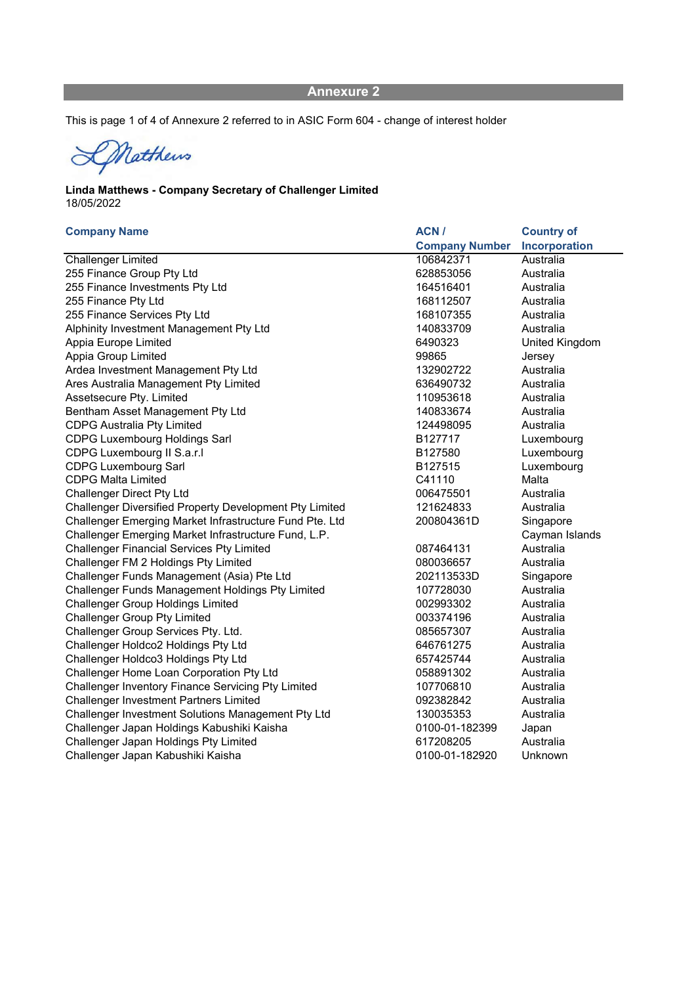This is page 1 of 4 of Annexure 2 referred to in ASIC Form 604 - change of interest holder

Matthews

### 18/05/2022 Linda Matthews - Company Secretary of Challenger Limited

### Company Name **ACN** / Company Number Country of Incorporation Challenger Limited 106842371 Australia 255 Finance Group Pty Ltd 628853056 Australia 255 Finance Investments Pty Ltd 164516401 255 Finance Pty Ltd 168112507 Australia 255 Finance Services Pty Ltd 168107355 Australia Alphinity Investment Management Pty Ltd 140833709 Australia Appia Europe Limited **6490323** United Kingdom Appia Group Limited **Appia Group Limited Appia Group Limited 99865** Jersey Ardea Investment Management Pty Ltd 132902722 Australia Ares Australia Management Pty Limited 636490732 Australia Assetsecure Ptv. Limited **110953618** Australia Bentham Asset Management Pty Ltd 140833674 Australia CDPG Australia Pty Limited 124498095 Australia CDPG Luxembourg Holdings Sarl **B127717** Luxembourg Luxembourg CDPG Luxembourg II S.a.r.l **B127580** Luxembourg II S.a.r.l CDPG Luxembourg Sarl B127515 Luxembourg CDPG Luxembourg CDPG Malta Limited C41110 Malta Challenger Direct Pty Ltd **Challenger Direct Pty Ltd** 006475501 Australia Challenger Diversified Property Development Pty Limited 121624833 Australia Challenger Emerging Market Infrastructure Fund Pte. Ltd 200804361D Singapore Challenger Emerging Market Infrastructure Fund, L.P. Cayman Islands Challenger Financial Services Pty Limited **087464131** Australia Challenger FM 2 Holdings Pty Limited **Challenger Challenger FM 2 Holdings Pty Limited 080036657** Australia Challenger Funds Management (Asia) Pte Ltd 202113533D Singapore Challenger Funds Management Holdings Pty Limited 107728030 Australia Challenger Group Holdings Limited 002993302 Australia Challenger Group Pty Limited **Challenger Challenger Challenger** Challenger Challenger Challenger Challenger Challenger Challenger Group Services Pty. Ltd. 6. Challenger Group Services Pty. Ltd. 085657307 Challenger Holdco2 Holdings Pty Ltd 646761275 Australia Challenger Holdco3 Holdings Pty Ltd 657425744 Australia Challenger Home Loan Corporation Pty Ltd 058891302 Australia Challenger Inventory Finance Servicing Pty Limited 107706810 Australia Challenger Investment Partners Limited 092382842 Australia Challenger Investment Solutions Management Pty Ltd 130035353 Australia Challenger Japan Holdings Kabushiki Kaisha 0100-01-182399 Japan Challenger Japan Holdings Pty Limited 617208205 Australia Challenger Japan Kabushiki Kaisha 0100-01-182920 Unknown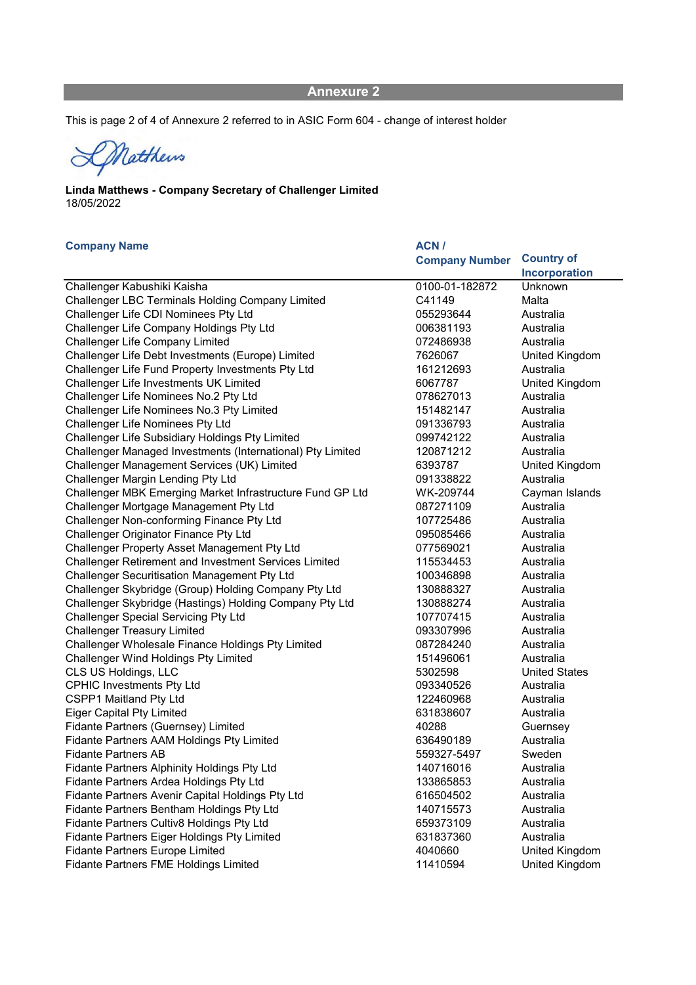This is page 2 of 4 of Annexure 2 referred to in ASIC Form 604 - change of interest holder

DNatthews

## 18/05/2022 Linda Matthews - Company Secretary of Challenger Limited

| <b>Company Name</b>                                        | ACN/                  |                      |
|------------------------------------------------------------|-----------------------|----------------------|
|                                                            | <b>Company Number</b> | <b>Country of</b>    |
|                                                            |                       | Incorporation        |
| Challenger Kabushiki Kaisha                                | 0100-01-182872        | Unknown              |
| Challenger LBC Terminals Holding Company Limited           | C41149                | Malta                |
| Challenger Life CDI Nominees Pty Ltd                       | 055293644             | Australia            |
| Challenger Life Company Holdings Pty Ltd                   | 006381193             | Australia            |
| <b>Challenger Life Company Limited</b>                     | 072486938             | Australia            |
| Challenger Life Debt Investments (Europe) Limited          | 7626067               | United Kingdom       |
| Challenger Life Fund Property Investments Pty Ltd          | 161212693             | Australia            |
| Challenger Life Investments UK Limited                     | 6067787               | United Kingdom       |
| Challenger Life Nominees No.2 Pty Ltd                      | 078627013             | Australia            |
| Challenger Life Nominees No.3 Pty Limited                  | 151482147             | Australia            |
| <b>Challenger Life Nominees Pty Ltd</b>                    | 091336793             | Australia            |
| Challenger Life Subsidiary Holdings Pty Limited            | 099742122             | Australia            |
| Challenger Managed Investments (International) Pty Limited | 120871212             | Australia            |
| Challenger Management Services (UK) Limited                | 6393787               | United Kingdom       |
| Challenger Margin Lending Pty Ltd                          | 091338822             | Australia            |
| Challenger MBK Emerging Market Infrastructure Fund GP Ltd  | WK-209744             | Cayman Islands       |
| Challenger Mortgage Management Pty Ltd                     | 087271109             | Australia            |
| Challenger Non-conforming Finance Pty Ltd                  | 107725486             | Australia            |
| Challenger Originator Finance Pty Ltd                      | 095085466             | Australia            |
| Challenger Property Asset Management Pty Ltd               | 077569021             | Australia            |
| Challenger Retirement and Investment Services Limited      | 115534453             | Australia            |
| <b>Challenger Securitisation Management Pty Ltd</b>        | 100346898             | Australia            |
| Challenger Skybridge (Group) Holding Company Pty Ltd       | 130888327             | Australia            |
| Challenger Skybridge (Hastings) Holding Company Pty Ltd    | 130888274             | Australia            |
| <b>Challenger Special Servicing Pty Ltd</b>                | 107707415             | Australia            |
| <b>Challenger Treasury Limited</b>                         | 093307996             | Australia            |
| Challenger Wholesale Finance Holdings Pty Limited          | 087284240             | Australia            |
| <b>Challenger Wind Holdings Pty Limited</b>                | 151496061             | Australia            |
| CLS US Holdings, LLC                                       | 5302598               | <b>United States</b> |
| <b>CPHIC Investments Pty Ltd</b>                           | 093340526             | Australia            |
| CSPP1 Maitland Pty Ltd                                     | 122460968             | Australia            |
| <b>Eiger Capital Pty Limited</b>                           | 631838607             | Australia            |
| Fidante Partners (Guernsey) Limited                        | 40288                 | Guernsey             |
| Fidante Partners AAM Holdings Pty Limited                  | 636490189             | Australia            |
| <b>Fidante Partners AB</b>                                 | 559327-5497           | Sweden               |
| Fidante Partners Alphinity Holdings Pty Ltd                | 140716016             | Australia            |
| Fidante Partners Ardea Holdings Pty Ltd                    | 133865853             | Australia            |
| Fidante Partners Avenir Capital Holdings Pty Ltd           | 616504502             | Australia            |
| Fidante Partners Bentham Holdings Pty Ltd                  | 140715573             | Australia            |
| Fidante Partners Cultiv8 Holdings Pty Ltd                  | 659373109             | Australia            |
| Fidante Partners Eiger Holdings Pty Limited                | 631837360             | Australia            |
| <b>Fidante Partners Europe Limited</b>                     | 4040660               | United Kingdom       |
| Fidante Partners FME Holdings Limited                      | 11410594              | United Kingdom       |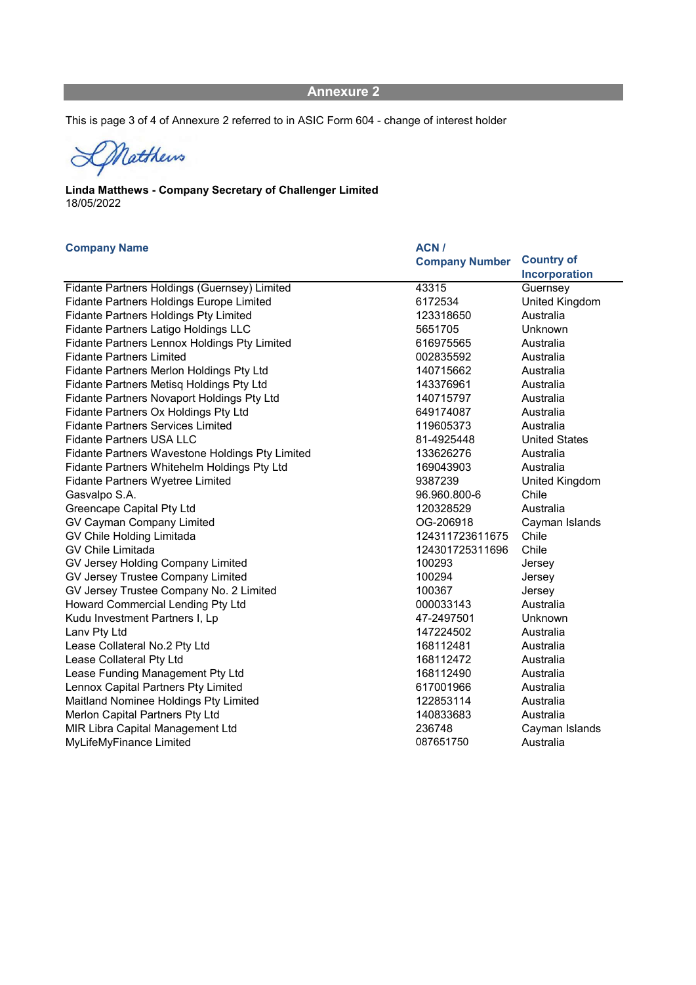This is page 3 of 4 of Annexure 2 referred to in ASIC Form 604 - change of interest holder

Matthews  $\alpha$ 

## 18/05/2022 Linda Matthews - Company Secretary of Challenger Limited

### Company Name ACN /

|                                                 | <b>Company Number</b> | <b>Country of</b>    |
|-------------------------------------------------|-----------------------|----------------------|
|                                                 |                       | Incorporation        |
| Fidante Partners Holdings (Guernsey) Limited    | 43315                 | Guernsey             |
| <b>Fidante Partners Holdings Europe Limited</b> | 6172534               | United Kingdom       |
| <b>Fidante Partners Holdings Pty Limited</b>    | 123318650             | Australia            |
| Fidante Partners Latigo Holdings LLC            | 5651705               | Unknown              |
| Fidante Partners Lennox Holdings Pty Limited    | 616975565             | Australia            |
| <b>Fidante Partners Limited</b>                 | 002835592             | Australia            |
| Fidante Partners Merlon Holdings Pty Ltd        | 140715662             | Australia            |
| Fidante Partners Metisq Holdings Pty Ltd        | 143376961             | Australia            |
| Fidante Partners Novaport Holdings Pty Ltd      | 140715797             | Australia            |
| Fidante Partners Ox Holdings Pty Ltd            | 649174087             | Australia            |
| <b>Fidante Partners Services Limited</b>        | 119605373             | Australia            |
| <b>Fidante Partners USA LLC</b>                 | 81-4925448            | <b>United States</b> |
| Fidante Partners Wavestone Holdings Pty Limited | 133626276             | Australia            |
| Fidante Partners Whitehelm Holdings Pty Ltd     | 169043903             | Australia            |
| <b>Fidante Partners Wyetree Limited</b>         | 9387239               | United Kingdom       |
| Gasvalpo S.A.                                   | 96.960.800-6          | Chile                |
| Greencape Capital Pty Ltd                       | 120328529             | Australia            |
| GV Cayman Company Limited                       | OG-206918             | Cayman Islands       |
| GV Chile Holding Limitada                       | 124311723611675       | Chile                |
| <b>GV Chile Limitada</b>                        | 124301725311696       | Chile                |
| GV Jersey Holding Company Limited               | 100293                | Jersey               |
| GV Jersey Trustee Company Limited               | 100294                | Jersey               |
| GV Jersey Trustee Company No. 2 Limited         | 100367                | Jersey               |
| Howard Commercial Lending Pty Ltd               | 000033143             | Australia            |
| Kudu Investment Partners I, Lp                  | 47-2497501            | Unknown              |
| Lanv Pty Ltd                                    | 147224502             | Australia            |
| Lease Collateral No.2 Pty Ltd                   | 168112481             | Australia            |
| Lease Collateral Pty Ltd                        | 168112472             | Australia            |
| Lease Funding Management Pty Ltd                | 168112490             | Australia            |
| Lennox Capital Partners Pty Limited             | 617001966             | Australia            |
| Maitland Nominee Holdings Pty Limited           | 122853114             | Australia            |
| Merlon Capital Partners Pty Ltd                 | 140833683             | Australia            |
| MIR Libra Capital Management Ltd                | 236748                | Cayman Islands       |
| MyLifeMyFinance Limited                         | 087651750             | Australia            |